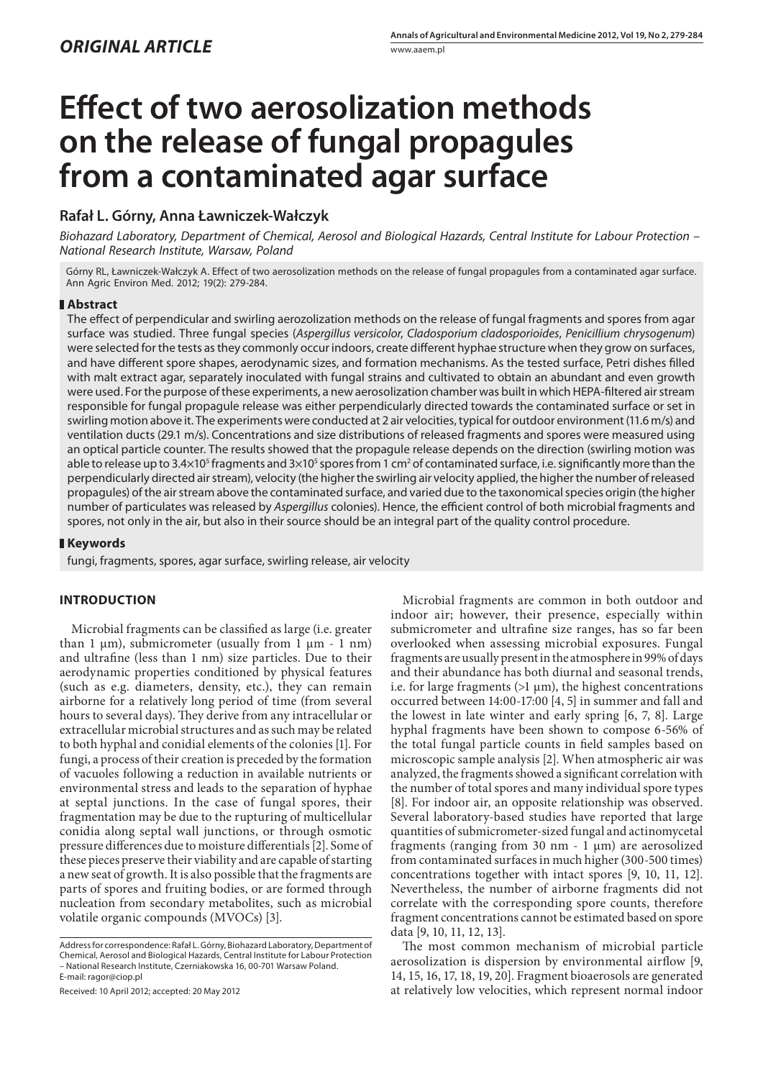# **Effect of two aerosolization methods on the release of fungal propagules from a contaminated agar surface**

## **Rafał L. Górny, Anna Ławniczek-Wałczyk**

*Biohazard Laboratory, Department of Chemical, Aerosol and Biological Hazards, Central Institute for Labour Protection – National Research Institute, Warsaw, Poland*

Górny RL, Ławniczek-Wałczyk A. Effect of two aerosolization methods on the release of fungal propagules from a contaminated agar surface. Ann Agric Environ Med. 2012; 19(2): 279-284.

#### **Abstract**

The effect of perpendicular and swirling aerozolization methods on the release of fungal fragments and spores from agar surface was studied. Three fungal species (*Aspergillus versicolor*, *Cladosporium cladosporioides*, *Penicillium chrysogenum*) were selected for the tests as they commonly occur indoors, create different hyphae structure when they grow on surfaces, and have different spore shapes, aerodynamic sizes, and formation mechanisms. As the tested surface, Petri dishes filled with malt extract agar, separately inoculated with fungal strains and cultivated to obtain an abundant and even growth were used. For the purpose of these experiments, a new aerosolization chamber was built in which HEPA-filtered air stream responsible for fungal propagule release was either perpendicularly directed towards the contaminated surface or set in swirling motion above it. The experiments were conducted at 2 air velocities, typical for outdoor environment (11.6 m/s) and ventilation ducts (29.1 m/s). Concentrations and size distributions of released fragments and spores were measured using an optical particle counter. The results showed that the propagule release depends on the direction (swirling motion was able to release up to 3.4×10<sup>s</sup> fragments and 3×10<sup>s</sup> spores from 1 cm<sup>2</sup> of contaminated surface, i.e. significantly more than the perpendicularly directed air stream), velocity (the higher the swirling air velocity applied, the higher the number of released propagules) of the air stream above the contaminated surface, and varied due to the taxonomical species origin (the higher number of particulates was released by *Aspergillus* colonies). Hence, the ecient control of both microbial fragments and spores, not only in the air, but also in their source should be an integral part of the quality control procedure.

#### **Keywords**

fungi, fragments, spores, agar surface, swirling release, air velocity

### **INTRODUCTION**

Microbial fragments can be classified as large (i.e. greater than 1  $\mu$ m), submicrometer (usually from 1  $\mu$ m - 1 nm) and ultrafine (less than 1 nm) size particles. Due to their aerodynamic properties conditioned by physical features (such as e.g. diameters, density, etc.), they can remain airborne for a relatively long period of time (from several hours to several days). They derive from any intracellular or extracellular microbial structures and as such may be related to both hyphal and conidial elements of the colonies [1]. For fungi, a process of their creation is preceded by the formation of vacuoles following a reduction in available nutrients or environmental stress and leads to the separation of hyphae at septal junctions. In the case of fungal spores, their fragmentation may be due to the rupturing of multicellular conidia along septal wall junctions, or through osmotic pressure differences due to moisture differentials [2]. Some of these pieces preserve their viability and are capable of starting a new seat of growth. It is also possible that the fragments are parts of spores and fruiting bodies, or are formed through nucleation from secondary metabolites, such as microbial volatile organic compounds (MVOCs) [3].

Received: 10 April 2012; accepted: 20 May 2012

Microbial fragments are common in both outdoor and indoor air; however, their presence, especially within submicrometer and ultrafine size ranges, has so far been overlooked when assessing microbial exposures. Fungal fragments are usually present in the atmosphere in 99% of days and their abundance has both diurnal and seasonal trends, i.e. for large fragments  $(>1 \mu m)$ , the highest concentrations occurred between 14:00-17:00 [4, 5] in summer and fall and the lowest in late winter and early spring [6, 7, 8]. Large hyphal fragments have been shown to compose 6-56% of the total fungal particle counts in field samples based on microscopic sample analysis [2]. When atmospheric air was analyzed, the fragments showed a significant correlation with the number of total spores and many individual spore types [8]. For indoor air, an opposite relationship was observed. Several laboratory-based studies have reported that large quantities of submicrometer-sized fungal and actinomycetal fragments (ranging from 30 nm - 1 µm) are aerosolized from contaminated surfaces in much higher (300-500 times) concentrations together with intact spores [9, 10, 11, 12]. Nevertheless, the number of airborne fragments did not correlate with the corresponding spore counts, therefore fragment concentrations cannot be estimated based on spore data [9, 10, 11, 12, 13].

The most common mechanism of microbial particle aerosolization is dispersion by environmental airflow [9, 14, 15, 16, 17, 18, 19, 20]. Fragment bioaerosols are generated at relatively low velocities, which represent normal indoor

Address for correspondence: Rafał L. Górny, Biohazard Laboratory, Department of Chemical, Aerosol and Biological Hazards, Central Institute for Labour Protection – National Research Institute, Czerniakowska 16, 00-701 Warsaw Poland. E-mail: ragor@ciop.pl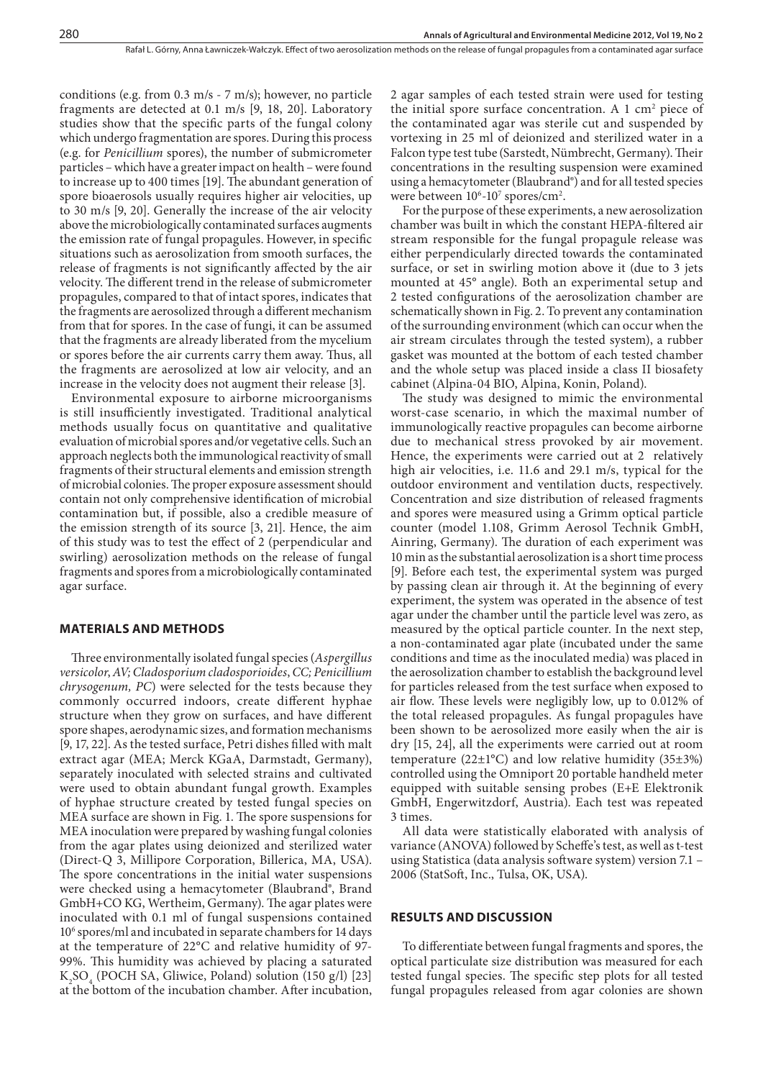conditions (e.g. from 0.3 m/s - 7 m/s); however, no particle fragments are detected at 0.1 m/s [9, 18, 20]. Laboratory studies show that the specific parts of the fungal colony which undergo fragmentation are spores. During this process (e.g. for *Penicillium* spores), the number of submicrometer particles – which have a greater impact on health – were found to increase up to 400 times [19]. The abundant generation of spore bioaerosols usually requires higher air velocities, up to 30 m/s [9, 20]. Generally the increase of the air velocity above the microbiologically contaminated surfaces augments the emission rate of fungal propagules. However, in specific situations such as aerosolization from smooth surfaces, the release of fragments is not significantly affected by the air velocity. The different trend in the release of submicrometer propagules, compared to that of intact spores, indicates that the fragments are aerosolized through a different mechanism from that for spores. In the case of fungi, it can be assumed that the fragments are already liberated from the mycelium or spores before the air currents carry them away. Thus, all the fragments are aerosolized at low air velocity, and an increase in the velocity does not augment their release [3].

Environmental exposure to airborne microorganisms is still insufficiently investigated. Traditional analytical methods usually focus on quantitative and qualitative evaluation of microbial spores and/or vegetative cells. Such an approach neglects both the immunological reactivity of small fragments of their structural elements and emission strength of microbial colonies. The proper exposure assessment should contain not only comprehensive identification of microbial contamination but, if possible, also a credible measure of the emission strength of its source [3, 21]. Hence, the aim of this study was to test the effect of 2 (perpendicular and swirling) aerosolization methods on the release of fungal fragments and spores from a microbiologically contaminated agar surface.

#### **MATERIALS AND METHODS**

Three environmentally isolated fungal species (Aspergillus *versicolor*, *AV; Cladosporium cladosporioides*, *CC; Penicillium chrysogenum, PC*) were selected for the tests because they commonly occurred indoors, create different hyphae structure when they grow on surfaces, and have different spore shapes, aerodynamic sizes, and formation mechanisms  $[9, 17, 22]$ . As the tested surface, Petri dishes filled with malt extract agar (MEA; Merck KGaA, Darmstadt, Germany), separately inoculated with selected strains and cultivated were used to obtain abundant fungal growth. Examples of hyphae structure created by tested fungal species on MEA surface are shown in Fig. 1. The spore suspensions for MEA inoculation were prepared by washing fungal colonies from the agar plates using deionized and sterilized water (Direct-Q 3, Millipore Corporation, Billerica, MA, USA). The spore concentrations in the initial water suspensions were checked using a hemacytometer (Blaubrand®, Brand GmbH+CO KG, Wertheim, Germany). The agar plates were inoculated with 0.1 ml of fungal suspensions contained 106 spores/ml and incubated in separate chambers for 14 days at the temperature of 22°C and relative humidity of 97- 99%. This humidity was achieved by placing a saturated  $K_2SO_4$  (POCH SA, Gliwice, Poland) solution (150 g/l) [23] at the bottom of the incubation chamber. After incubation,

2 agar samples of each tested strain were used for testing the initial spore surface concentration. A  $1 \text{ cm}^2$  piece of the contaminated agar was sterile cut and suspended by vortexing in 25 ml of deionized and sterilized water in a Falcon type test tube (Sarstedt, Nümbrecht, Germany). Their concentrations in the resulting suspension were examined using a hemacytometer (Blaubrand®) and for all tested species were between  $10^6$ - $10^7$  spores/cm<sup>2</sup>.

For the purpose of these experiments, a new aerosolization chamber was built in which the constant HEPA-filtered air stream responsible for the fungal propagule release was either perpendicularly directed towards the contaminated surface, or set in swirling motion above it (due to 3 jets mounted at 45° angle). Both an experimental setup and 2 tested configurations of the aerosolization chamber are schematically shown in Fig. 2. To prevent any contamination of the surrounding environment (which can occur when the air stream circulates through the tested system), a rubber gasket was mounted at the bottom of each tested chamber and the whole setup was placed inside a class II biosafety cabinet (Alpina-04 BIO, Alpina, Konin, Poland).

The study was designed to mimic the environmental worst-case scenario, in which the maximal number of immunologically reactive propagules can become airborne due to mechanical stress provoked by air movement. Hence, the experiments were carried out at 2 relatively high air velocities, i.e. 11.6 and 29.1 m/s, typical for the outdoor environment and ventilation ducts, respectively. Concentration and size distribution of released fragments and spores were measured using a Grimm optical particle counter (model 1.108, Grimm Aerosol Technik GmbH, Ainring, Germany). The duration of each experiment was 10 min as the substantial aerosolization is a short time process [9]. Before each test, the experimental system was purged by passing clean air through it. At the beginning of every experiment, the system was operated in the absence of test agar under the chamber until the particle level was zero, as measured by the optical particle counter. In the next step, a non-contaminated agar plate (incubated under the same conditions and time as the inoculated media) was placed in the aerosolization chamber to establish the background level for particles released from the test surface when exposed to air flow. These levels were negligibly low, up to 0.012% of the total released propagules. As fungal propagules have been shown to be aerosolized more easily when the air is dry [15, 24], all the experiments were carried out at room temperature (22 $\pm$ 1°C) and low relative humidity (35 $\pm$ 3%) controlled using the Omniport 20 portable handheld meter equipped with suitable sensing probes (E+E Elektronik GmbH, Engerwitzdorf, Austria). Each test was repeated 3 times.

All data were statistically elaborated with analysis of variance (ANOVA) followed by Scheffe's test, as well as t-test using Statistica (data analysis software system) version 7.1 – 2006 (StatSoft, Inc., Tulsa, OK, USA).

#### **RESULTS AND DISCUSSION**

To differentiate between fungal fragments and spores, the optical particulate size distribution was measured for each tested fungal species. The specific step plots for all tested fungal propagules released from agar colonies are shown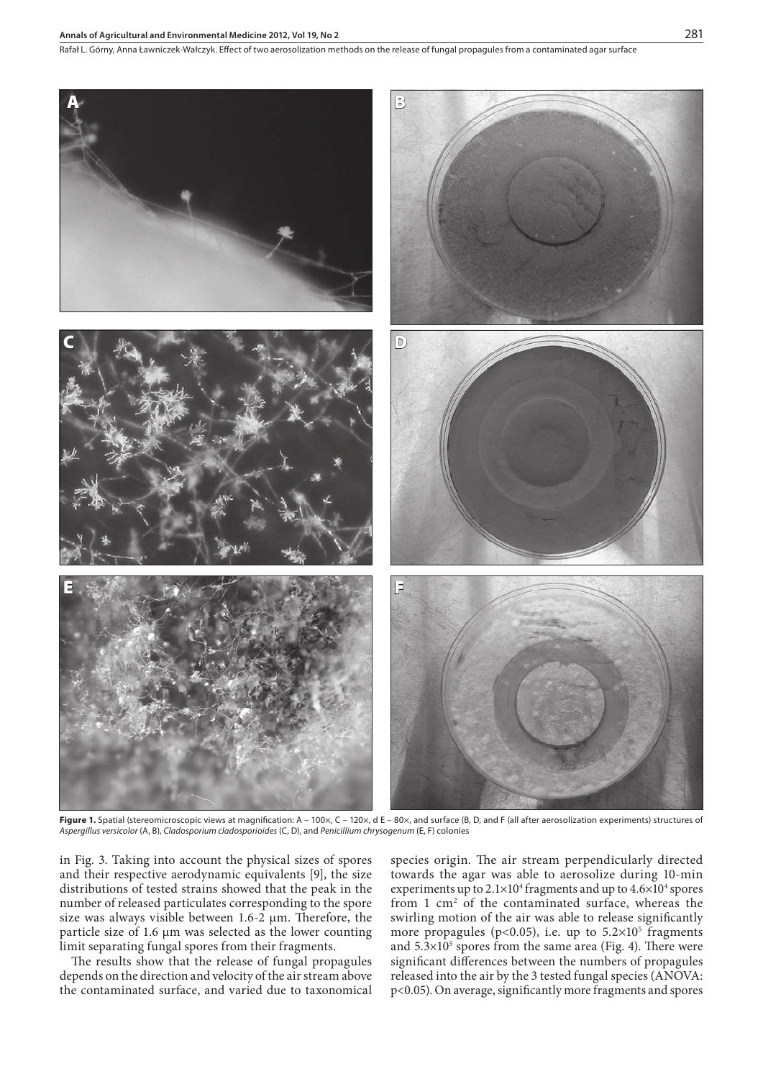#### **Annals of Agricultural and Environmental Medicine 2012, Vol 19, No 2** 281



Figure 1. Spatial (stereomicroscopic views at magnification: A - 100x, C - 120x, d E - 80x, and surface (B, D, and F (all after aerosolization experiments) structures of *Aspergillus versicolor* (A, B), *Cladosporium cladosporioides* (C, D), and *Penicillium chrysogenum* (E, F) colonies

in Fig. 3. Taking into account the physical sizes of spores and their respective aerodynamic equivalents [9], the size distributions of tested strains showed that the peak in the number of released particulates corresponding to the spore size was always visible between  $1.6 - 2 \mu m$ . Therefore, the particle size of 1.6 µm was selected as the lower counting limit separating fungal spores from their fragments.

The results show that the release of fungal propagules depends on the direction and velocity of the air stream above the contaminated surface, and varied due to taxonomical species origin. The air stream perpendicularly directed towards the agar was able to aerosolize during 10-min experiments up to  $2.1 \times 10^4$  fragments and up to  $4.6 \times 10^4$  spores from 1 cm<sup>2</sup> of the contaminated surface, whereas the swirling motion of the air was able to release significantly more propagules ( $p$ <0.05), i.e. up to  $5.2 \times 10^5$  fragments and  $5.3 \times 10^5$  spores from the same area (Fig. 4). There were significant differences between the numbers of propagules released into the air by the 3 tested fungal species (ANOVA: p<0.05). On average, signicantly more fragments and spores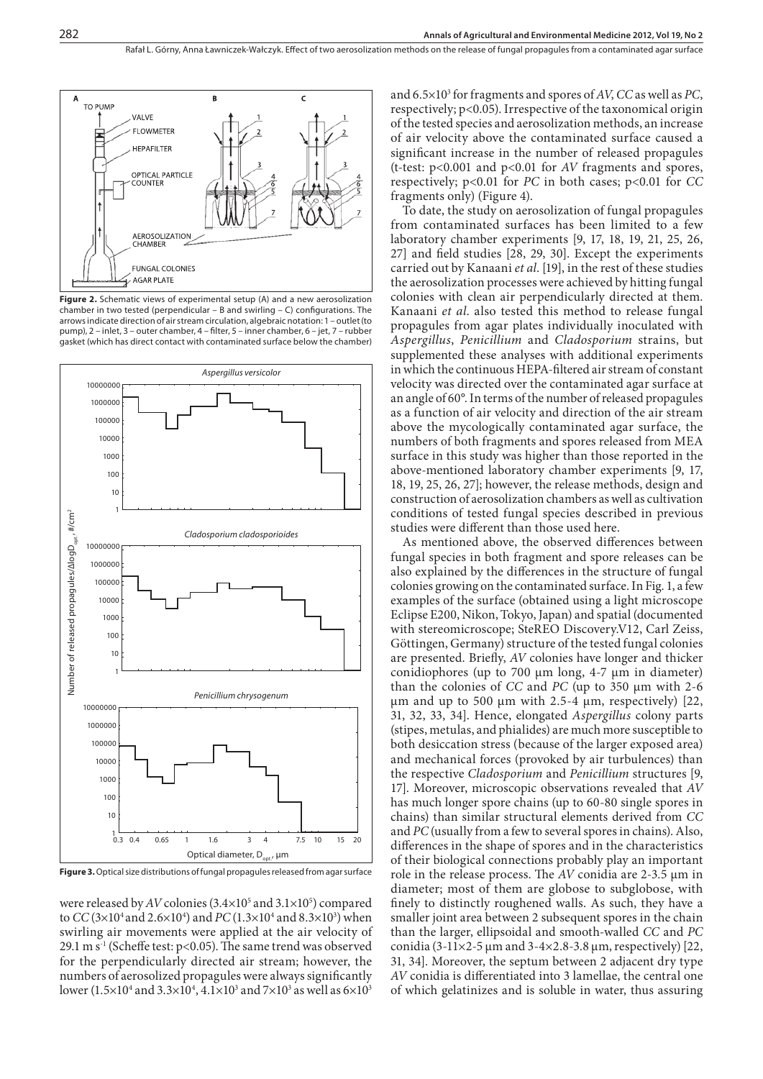

**Figure 2.** Schematic views of experimental setup (A) and a new aerosolization chamber in two tested (perpendicular – B and swirling – C) configurations. The arrows indicate direction of air stream circulation, algebraic notation: 1 – outlet (to pump), 2 – inlet, 3 – outer chamber, 4 – filter, 5 – inner chamber, 6 – jet, 7 – rubber gasket (which has direct contact with contaminated surface below the chamber)



**Figure 3.** Optical size distributions of fungal propagules released from agar surface

were released by  $AV$  colonies  $(3.4 \times 10^5 \text{ and } 3.1 \times 10^5)$  compared to *CC* (3×10<sup>4</sup> and 2.6×10<sup>4</sup>) and *PC* (1.3×10<sup>4</sup> and 8.3×10<sup>3</sup>) when swirling air movements were applied at the air velocity of 29.1 m  $s^{-1}$  (Scheffe test: p<0.05). The same trend was observed for the perpendicularly directed air stream; however, the numbers of aerosolized propagules were always signicantly  ${\rm lower}\,(1.5{\times}10^4$  and  $3.3{\times}10^4, 4.1{\times}10^3$  and  $7{\times}10^3$  as well as  $6{\times}10^3$ 

and 6.5×103 for fragments and spores of *AV*, *CC* as well as *PC*, respectively; p<0.05). Irrespective of the taxonomical origin of the tested species and aerosolization methods, an increase of air velocity above the contaminated surface caused a significant increase in the number of released propagules (t-test: p<0.001 and p<0.01 for *AV* fragments and spores, respectively; p<0.01 for *PC* in both cases; p<0.01 for *CC* fragments only) (Figure 4).

To date, the study on aerosolization of fungal propagules from contaminated surfaces has been limited to a few laboratory chamber experiments [9, 17, 18, 19, 21, 25, 26,  $27$ ] and field studies [28, 29, 30]. Except the experiments carried out by Kanaani *et al*. [19], in the rest of these studies the aerosolization processes were achieved by hitting fungal colonies with clean air perpendicularly directed at them. Kanaani *et al*. also tested this method to release fungal propagules from agar plates individually inoculated with *Aspergillus*, *Penicillium* and *Cladosporium* strains, but supplemented these analyses with additional experiments in which the continuous HEPA-filtered air stream of constant velocity was directed over the contaminated agar surface at an angle of 60°. In terms of the number of released propagules as a function of air velocity and direction of the air stream above the mycologically contaminated agar surface, the numbers of both fragments and spores released from MEA surface in this study was higher than those reported in the above-mentioned laboratory chamber experiments [9, 17, 18, 19, 25, 26, 27]; however, the release methods, design and construction of aerosolization chambers as well as cultivation conditions of tested fungal species described in previous studies were different than those used here.

As mentioned above, the observed differences between fungal species in both fragment and spore releases can be also explained by the differences in the structure of fungal colonies growing on the contaminated surface. In Fig. 1, a few examples of the surface (obtained using a light microscope Eclipse E200, Nikon, Tokyo, Japan) and spatial (documented with stereomicroscope; SteREO Discovery.V12, Carl Zeiss, Göttingen, Germany) structure of the tested fungal colonies are presented. Briefly, *AV* colonies have longer and thicker conidiophores (up to 700  $\mu$ m long, 4-7  $\mu$ m in diameter) than the colonies of *CC* and *PC* (up to 350 µm with 2-6  $\mu$ m and up to 500  $\mu$ m with 2.5-4  $\mu$ m, respectively) [22, 31, 32, 33, 34]. Hence, elongated *Aspergillus* colony parts (stipes, metulas, and phialides) are much more susceptible to both desiccation stress (because of the larger exposed area) and mechanical forces (provoked by air turbulences) than the respective *Cladosporium* and *Penicillium* structures [9, 17]. Moreover, microscopic observations revealed that *AV* has much longer spore chains (up to 60-80 single spores in chains) than similar structural elements derived from *CC* and *PC* (usually from a few to several spores in chains). Also, differences in the shape of spores and in the characteristics of their biological connections probably play an important role in the release process. The AV conidia are 2-3.5 µm in diameter; most of them are globose to subglobose, with finely to distinctly roughened walls. As such, they have a smaller joint area between 2 subsequent spores in the chain than the larger, ellipsoidal and smooth-walled *CC* and *PC* conidia (3-11×2-5  $\mu$ m and 3-4×2.8-3.8  $\mu$ m, respectively) [22, 31, 34]. Moreover, the septum between 2 adjacent dry type AV conidia is differentiated into 3 lamellae, the central one of which gelatinizes and is soluble in water, thus assuring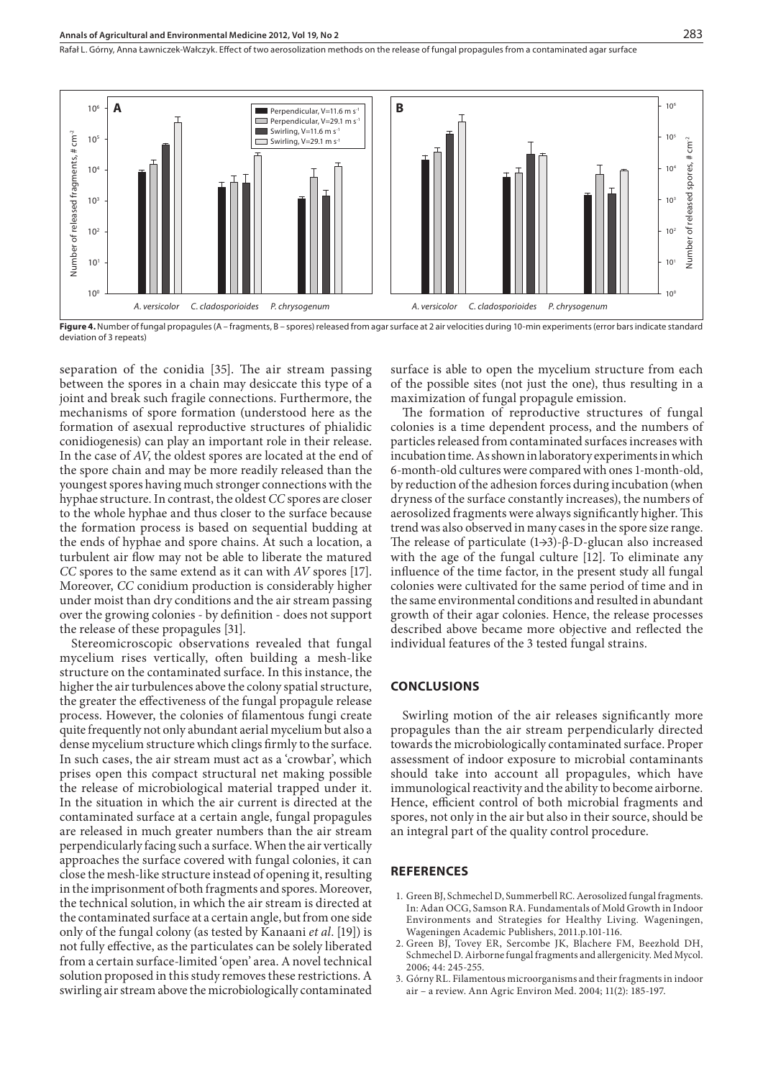Rafał L. Górny, Anna Ławniczek-Wałczyk. Effect of two aerosolization methods on the release of fungal propagules from a contaminated agar surface



**Figure 4.** Number of fungal propagules (A – fragments, B – spores) released from agar surface at 2 air velocities during 10-min experiments (error bars indicate standard deviation of 3 repeats)

separation of the conidia [35]. The air stream passing between the spores in a chain may desiccate this type of a joint and break such fragile connections. Furthermore, the mechanisms of spore formation (understood here as the formation of asexual reproductive structures of phialidic conidiogenesis) can play an important role in their release. In the case of *AV*, the oldest spores are located at the end of the spore chain and may be more readily released than the youngest spores having much stronger connections with the hyphae structure. In contrast, the oldest *CC* spores are closer to the whole hyphae and thus closer to the surface because the formation process is based on sequential budding at the ends of hyphae and spore chains. At such a location, a turbulent air flow may not be able to liberate the matured *CC* spores to the same extend as it can with *AV* spores [17]. Moreover, *CC* conidium production is considerably higher under moist than dry conditions and the air stream passing over the growing colonies - by definition - does not support the release of these propagules [31].

Stereomicroscopic observations revealed that fungal mycelium rises vertically, often building a mesh-like structure on the contaminated surface. In this instance, the higher the air turbulences above the colony spatial structure, the greater the effectiveness of the fungal propagule release process. However, the colonies of lamentous fungi create quite frequently not only abundant aerial mycelium but also a dense mycelium structure which clings firmly to the surface. In such cases, the air stream must act as a 'crowbar', which prises open this compact structural net making possible the release of microbiological material trapped under it. In the situation in which the air current is directed at the contaminated surface at a certain angle, fungal propagules are released in much greater numbers than the air stream perpendicularly facing such a surface. When the air vertically approaches the surface covered with fungal colonies, it can close the mesh-like structure instead of opening it, resulting in the imprisonment of both fragments and spores. Moreover, the technical solution, in which the air stream is directed at the contaminated surface at a certain angle, but from one side only of the fungal colony (as tested by Kanaani *et al*. [19]) is not fully effective, as the particulates can be solely liberated from a certain surface-limited 'open' area. A novel technical solution proposed in this study removes these restrictions. A swirling air stream above the microbiologically contaminated

surface is able to open the mycelium structure from each of the possible sites (not just the one), thus resulting in a maximization of fungal propagule emission.

The formation of reproductive structures of fungal colonies is a time dependent process, and the numbers of particles released from contaminated surfaces increases with incubation time. As shown in laboratory experiments in which 6-month-old cultures were compared with ones 1-month-old, by reduction of the adhesion forces during incubation (when dryness of the surface constantly increases), the numbers of aerosolized fragments were always significantly higher. This trend was also observed in many cases in the spore size range. The release of particulate (1→3)-β-D-glucan also increased with the age of the fungal culture [12]. To eliminate any influence of the time factor, in the present study all fungal colonies were cultivated for the same period of time and in the same environmental conditions and resulted in abundant growth of their agar colonies. Hence, the release processes described above became more objective and reflected the individual features of the 3 tested fungal strains.

#### **CONCLUSIONS**

Swirling motion of the air releases significantly more propagules than the air stream perpendicularly directed towards the microbiologically contaminated surface. Proper assessment of indoor exposure to microbial contaminants should take into account all propagules, which have immunological reactivity and the ability to become airborne. Hence, efficient control of both microbial fragments and spores, not only in the air but also in their source, should be an integral part of the quality control procedure.

#### **REFERENCES**

- 1. Green BJ, Schmechel D, Summerbell RC. Aerosolized fungal fragments. In: Adan OCG, Samson RA. Fundamentals of Mold Growth in Indoor Environments and Strategies for Healthy Living. Wageningen, Wageningen Academic Publishers, 2011.p.101-116.
- 2. Green BJ, Tovey ER, Sercombe JK, Blachere FM, Beezhold DH, Schmechel D. Airborne fungal fragments and allergenicity. Med Mycol. 2006; 44: 245-255.
- 3. Górny RL. Filamentous microorganisms and their fragments in indoor air – a review. Ann Agric Environ Med. 2004; 11(2): 185-197.